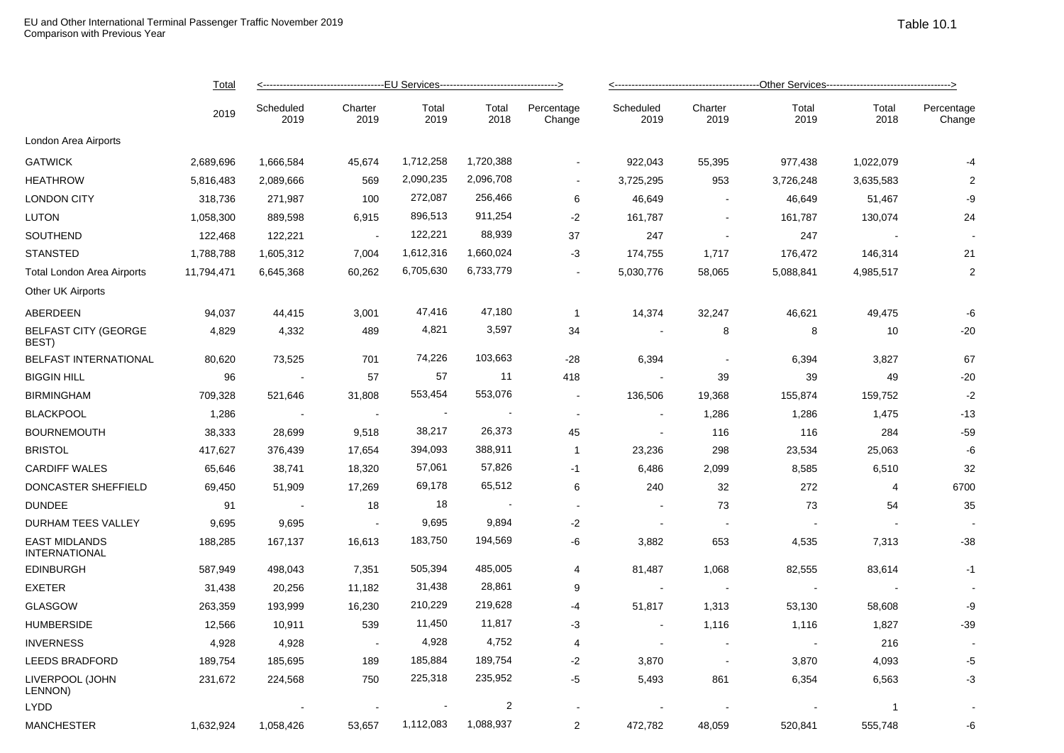|                                              | Total<br>2019 |                   |                 |                          |               |                      |                          |                 |                |                |                      |  |
|----------------------------------------------|---------------|-------------------|-----------------|--------------------------|---------------|----------------------|--------------------------|-----------------|----------------|----------------|----------------------|--|
|                                              |               | Scheduled<br>2019 | Charter<br>2019 | Total<br>2019            | Total<br>2018 | Percentage<br>Change | Scheduled<br>2019        | Charter<br>2019 | Total<br>2019  | Total<br>2018  | Percentage<br>Change |  |
| London Area Airports                         |               |                   |                 |                          |               |                      |                          |                 |                |                |                      |  |
| <b>GATWICK</b>                               | 2,689,696     | 1,666,584         | 45,674          | 1,712,258                | 1,720,388     | $\sim$               | 922,043                  | 55,395          | 977,438        | 1,022,079      | -4                   |  |
| <b>HEATHROW</b>                              | 5,816,483     | 2,089,666         | 569             | 2,090,235                | 2,096,708     | $\sim$               | 3,725,295                | 953             | 3,726,248      | 3,635,583      | 2                    |  |
| <b>LONDON CITY</b>                           | 318,736       | 271,987           | 100             | 272,087                  | 256,466       | 6                    | 46,649                   | $\sim$          | 46,649         | 51,467         | -9                   |  |
| <b>LUTON</b>                                 | 1,058,300     | 889,598           | 6,915           | 896,513                  | 911,254       | $-2$                 | 161,787                  | $\sim$          | 161,787        | 130,074        | 24                   |  |
| SOUTHEND                                     | 122,468       | 122,221           | $\sim$          | 122,221                  | 88,939        | 37                   | 247                      | $\sim$          | 247            | $\blacksquare$ |                      |  |
| <b>STANSTED</b>                              | 1,788,788     | 1,605,312         | 7,004           | 1,612,316                | 1,660,024     | -3                   | 174,755                  | 1,717           | 176,472        | 146,314        | 21                   |  |
| Total London Area Airports                   | 11,794,471    | 6,645,368         | 60,262          | 6,705,630                | 6,733,779     | $\sim$               | 5,030,776                | 58,065          | 5,088,841      | 4,985,517      | $\overline{2}$       |  |
| <b>Other UK Airports</b>                     |               |                   |                 |                          |               |                      |                          |                 |                |                |                      |  |
| ABERDEEN                                     | 94,037        | 44,415            | 3,001           | 47,416                   | 47,180        | $\mathbf{1}$         | 14,374                   | 32,247          | 46,621         | 49,475         | -6                   |  |
| <b>BELFAST CITY (GEORGE</b><br>BEST)         | 4,829         | 4,332             | 489             | 4,821                    | 3,597         | 34                   |                          | 8               | 8              | 10             | $-20$                |  |
| BELFAST INTERNATIONAL                        | 80,620        | 73,525            | 701             | 74,226                   | 103,663       | $-28$                | 6,394                    | $\sim$          | 6,394          | 3,827          | 67                   |  |
| <b>BIGGIN HILL</b>                           | 96            |                   | 57              | 57                       | 11            | 418                  |                          | 39              | 39             | 49             | $-20$                |  |
| <b>BIRMINGHAM</b>                            | 709,328       | 521,646           | 31,808          | 553,454                  | 553,076       | $\blacksquare$       | 136,506                  | 19,368          | 155,874        | 159,752        | $-2$                 |  |
| <b>BLACKPOOL</b>                             | 1,286         | $\sim$ $-$        | $\sim$          | $\overline{\phantom{a}}$ |               | $\blacksquare$       | $\sim$                   | 1,286           | 1,286          | 1,475          | $-13$                |  |
| <b>BOURNEMOUTH</b>                           | 38,333        | 28,699            | 9,518           | 38,217                   | 26,373        | 45                   | $\overline{\phantom{a}}$ | 116             | 116            | 284            | $-59$                |  |
| <b>BRISTOL</b>                               | 417,627       | 376,439           | 17,654          | 394,093                  | 388,911       | $\mathbf{1}$         | 23,236                   | 298             | 23,534         | 25,063         | -6                   |  |
| <b>CARDIFF WALES</b>                         | 65,646        | 38,741            | 18,320          | 57,061                   | 57,826        | $-1$                 | 6,486                    | 2,099           | 8,585          | 6,510          | 32                   |  |
| DONCASTER SHEFFIELD                          | 69,450        | 51,909            | 17,269          | 69,178                   | 65,512        | 6                    | 240                      | 32              | 272            | 4              | 6700                 |  |
| <b>DUNDEE</b>                                | 91            | $\sim$ $\sim$     | 18              | 18                       | $\sim$ $-$    | $\sim$               | $\sim$                   | 73              | 73             | 54             | 35                   |  |
| DURHAM TEES VALLEY                           | 9,695         | 9,695             | $\sim$          | 9,695                    | 9,894         | $-2$                 | $\overline{\phantom{a}}$ | $\sim$          |                |                |                      |  |
| <b>EAST MIDLANDS</b><br><b>INTERNATIONAL</b> | 188,285       | 167,137           | 16,613          | 183,750                  | 194,569       | $-6$                 | 3,882                    | 653             | 4,535          | 7,313          | $-38$                |  |
| <b>EDINBURGH</b>                             | 587,949       | 498,043           | 7,351           | 505,394                  | 485,005       | 4                    | 81,487                   | 1,068           | 82,555         | 83,614         | $-1$                 |  |
| <b>EXETER</b>                                | 31,438        | 20,256            | 11,182          | 31,438                   | 28,861        | 9                    | $\sim$                   | $\sim$          |                |                |                      |  |
| <b>GLASGOW</b>                               | 263,359       | 193,999           | 16,230          | 210,229                  | 219,628       | $-4$                 | 51,817                   | 1,313           | 53,130         | 58,608         | -9                   |  |
| <b>HUMBERSIDE</b>                            | 12,566        | 10,911            | 539             | 11,450                   | 11,817        | -3                   | $\sim$                   | 1,116           | 1,116          | 1,827          | $-39$                |  |
| <b>INVERNESS</b>                             | 4,928         | 4,928             | $\sim$          | 4,928                    | 4,752         | 4                    | $\sim$                   | $\sim$          | $\blacksquare$ | 216            |                      |  |
| <b>LEEDS BRADFORD</b>                        | 189,754       | 185,695           | 189             | 185,884                  | 189,754       | $-2$                 | 3,870                    | $\sim$          | 3,870          | 4,093          | -5                   |  |
| LIVERPOOL (JOHN<br>LENNON)                   | 231,672       | 224,568           | 750             | 225,318                  | 235,952       | -5                   | 5,493                    | 861             | 6,354          | 6,563          | $-3$                 |  |
| <b>LYDD</b>                                  |               |                   |                 |                          | 2             |                      |                          |                 |                | -1             |                      |  |
| <b>MANCHESTER</b>                            | 1,632,924     | 1,058,426         | 53,657          | 1,112,083                | 1,088,937     | 2                    | 472,782                  | 48,059          | 520,841        | 555,748        | -6                   |  |